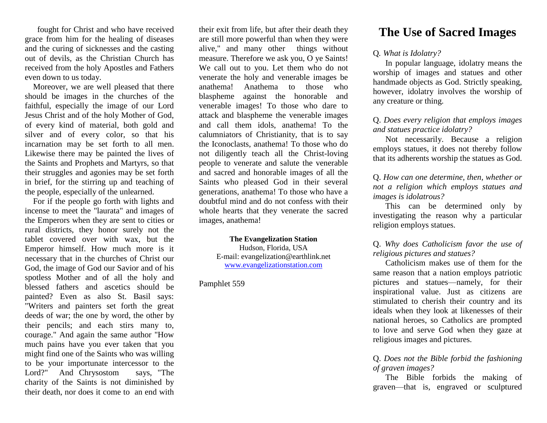fought for Christ and who have received grace from him for the healing of diseases and the curing of sicknesses and the casting out of devils, as the Christian Church has received from the holy Apostles and Fathers even down to us today.

 Moreover, we are well pleased that there should be images in the churches of the faithful, especially the image of our Lord Jesus Christ and of the holy Mother of God, of every kind of material, both gold and silver and of every color, so that his incarnation may be set forth to all men. Likewise there may be painted the lives of the Saints and Prophets and Martyrs, so that their struggles and agonies may be set forth in brief, for the stirring up and teaching of the people, especially of the unlearned.

 For if the people go forth with lights and incense to meet the "laurata" and images of the Emperors when they are sent to cities or rural districts, they honor surely not the tablet covered over with wax, but the Emperor himself. How much more is it necessary that in the churches of Christ our God, the image of God our Savior and of his spotless Mother and of all the holy and blessed fathers and ascetics should be painted? Even as also St. Basil says: "Writers and painters set forth the great deeds of war; the one by word, the other by their pencils; and each stirs many to, courage." And again the same author "How much pains have you ever taken that you might find one of the Saints who was willing to be your importunate intercessor to the Lord?" And Chrysostom says, "The charity of the Saints is not diminished by their death, nor does it come to an end with

their exit from life, but after their death they are still more powerful than when they were alive," and many other things without measure. Therefore we ask you, O ye Saints! We call out to you. Let them who do not venerate the holy and venerable images be anathema! Anathema to those who blaspheme against the honorable and venerable images! To those who dare to attack and blaspheme the venerable images and call them idols, anathema! To the calumniators of Christianity, that is to say the Iconoclasts, anathema! To those who do not diligently teach all the Christ-loving people to venerate and salute the venerable and sacred and honorable images of all the Saints who pleased God in their several generations, anathema! To those who have a doubtful mind and do not confess with their whole hearts that they venerate the sacred images, anathema!

> **The Evangelization Station** Hudson, Florida, USA E-mail: evangelization@earthlink.net [www.evangelizationstation.com](http://www.pjpiisoe.org/)

Pamphlet 559

# **The Use of Sacred Images**

## Q*. What is Idolatry?*

In popular language, idolatry means the worship of images and statues and other handmade objects as God. Strictly speaking, however, idolatry involves the worship of any creature or thing.

## Q. *Does every religion that employs images and statues practice idolatry?*

Not necessarily. Because a religion employs statues, it does not thereby follow that its adherents worship the statues as God.

Q. *How can one determine, then, whether or not a religion which employs statues and images is idolatrous?*

This can be determined only by investigating the reason why a particular religion employs statues.

Q. *Why does Catholicism favor the use of religious pictures and statues?*

Catholicism makes use of them for the same reason that a nation employs patriotic pictures and statues—namely, for their inspirational value. Just as citizens are stimulated to cherish their country and its ideals when they look at likenesses of their national heroes, so Catholics are prompted to love and serve God when they gaze at religious images and pictures.

# Q. *Does not the Bible forbid the fashioning of graven images?*

The Bible forbids the making of graven—that is, engraved or sculptured